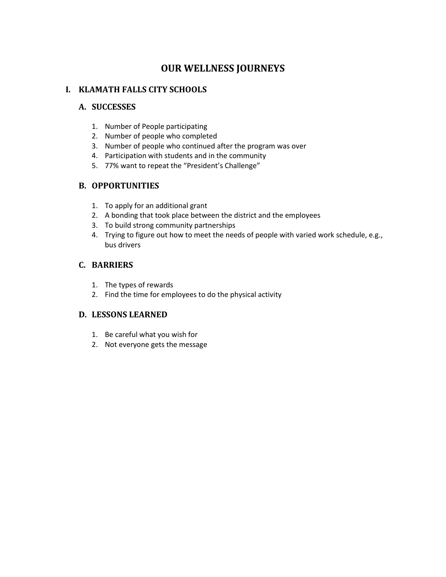#### **I. KLAMATH FALLS CITY SCHOOLS**

#### **A. SUCCESSES**

- 1. Number of People participating
- 2. Number of people who completed
- 3. Number of people who continued after the program was over
- 4. Participation with students and in the community
- 5. 77% want to repeat the "President's Challenge"

## **B. OPPORTUNITIES**

- 1. To apply for an additional grant
- 2. A bonding that took place between the district and the employees
- 3. To build strong community partnerships
- 4. Trying to figure out how to meet the needs of people with varied work schedule, e.g., bus drivers

## **C. BARRIERS**

- 1. The types of rewards
- 2. Find the time for employees to do the physical activity

- 1. Be careful what you wish for
- 2. Not everyone gets the message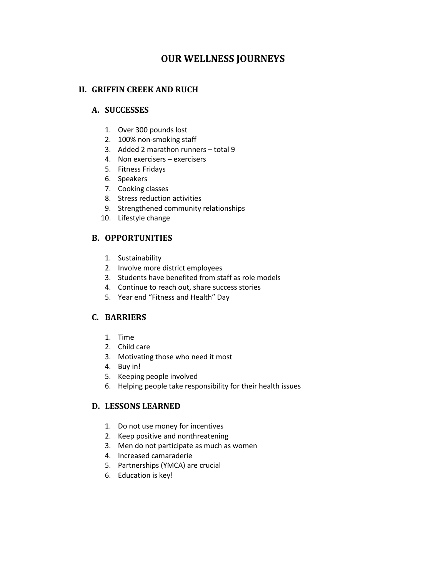#### **II. GRIFFIN CREEK AND RUCH**

#### **A. SUCCESSES**

- 1. Over 300 pounds lost
- 2. 100% non-smoking staff
- 3. Added 2 marathon runners total 9
- 4. Non exercisers exercisers
- 5. Fitness Fridays
- 6. Speakers
- 7. Cooking classes
- 8. Stress reduction activities
- 9. Strengthened community relationships
- 10. Lifestyle change

## **B. OPPORTUNITIES**

- 1. Sustainability
- 2. Involve more district employees
- 3. Students have benefited from staff as role models
- 4. Continue to reach out, share success stories
- 5. Year end "Fitness and Health" Day

## **C. BARRIERS**

- 1. Time
- 2. Child care
- 3. Motivating those who need it most
- 4. Buy in!
- 5. Keeping people involved
- 6. Helping people take responsibility for their health issues

- 1. Do not use money for incentives
- 2. Keep positive and nonthreatening
- 3. Men do not participate as much as women
- 4. Increased camaraderie
- 5. Partnerships (YMCA) are crucial
- 6. Education is key!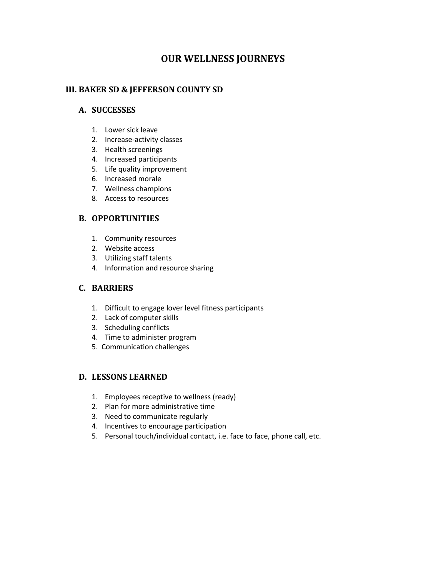#### **III. BAKER SD & JEFFERSON COUNTY SD**

#### **A. SUCCESSES**

- 1. Lower sick leave
- 2. Increase-activity classes
- 3. Health screenings
- 4. Increased participants
- 5. Life quality improvement
- 6. Increased morale
- 7. Wellness champions
- 8. Access to resources

#### **B. OPPORTUNITIES**

- 1. Community resources
- 2. Website access
- 3. Utilizing staff talents
- 4. Information and resource sharing

#### **C. BARRIERS**

- 1. Difficult to engage lover level fitness participants
- 2. Lack of computer skills
- 3. Scheduling conflicts
- 4. Time to administer program
- 5. Communication challenges

- 1. Employees receptive to wellness (ready)
- 2. Plan for more administrative time
- 3. Need to communicate regularly
- 4. Incentives to encourage participation
- 5. Personal touch/individual contact, i.e. face to face, phone call, etc.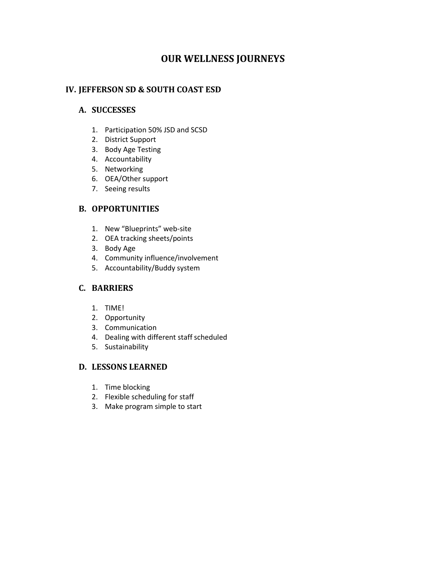## **IV. JEFFERSON SD & SOUTH COAST ESD**

#### **A. SUCCESSES**

- 1. Participation 50% JSD and SCSD
- 2. District Support
- 3. Body Age Testing
- 4. Accountability
- 5. Networking
- 6. OEA/Other support
- 7. Seeing results

## **B. OPPORTUNITIES**

- 1. New "Blueprints" web-site
- 2. OEA tracking sheets/points
- 3. Body Age
- 4. Community influence/involvement
- 5. Accountability/Buddy system

#### **C. BARRIERS**

- 1. TIME!
- 2. Opportunity
- 3. Communication
- 4. Dealing with different staff scheduled
- 5. Sustainability

- 1. Time blocking
- 2. Flexible scheduling for staff
- 3. Make program simple to start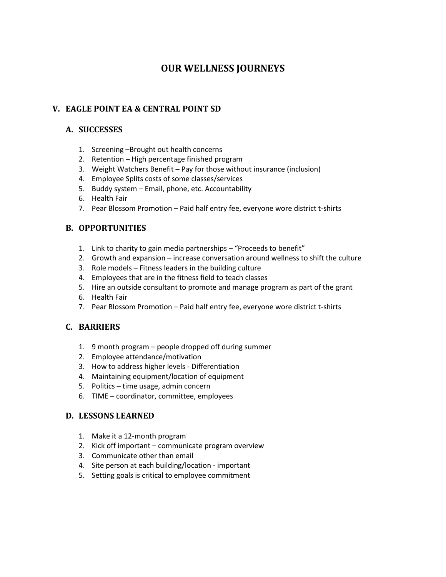## **V. EAGLE POINT EA & CENTRAL POINT SD**

## **A. SUCCESSES**

- 1. Screening –Brought out health concerns
- 2. Retention High percentage finished program
- 3. Weight Watchers Benefit Pay for those without insurance (inclusion)
- 4. Employee Splits costs of some classes/services
- 5. Buddy system Email, phone, etc. Accountability
- 6. Health Fair
- 7. Pear Blossom Promotion Paid half entry fee, everyone wore district t-shirts

## **B. OPPORTUNITIES**

- 1. Link to charity to gain media partnerships "Proceeds to benefit"
- 2. Growth and expansion increase conversation around wellness to shift the culture
- 3. Role models Fitness leaders in the building culture
- 4. Employees that are in the fitness field to teach classes
- 5. Hire an outside consultant to promote and manage program as part of the grant
- 6. Health Fair
- 7. Pear Blossom Promotion Paid half entry fee, everyone wore district t-shirts

## **C. BARRIERS**

- 1. 9 month program people dropped off during summer
- 2. Employee attendance/motivation
- 3. How to address higher levels Differentiation
- 4. Maintaining equipment/location of equipment
- 5. Politics time usage, admin concern
- 6. TIME coordinator, committee, employees

- 1. Make it a 12-month program
- 2. Kick off important communicate program overview
- 3. Communicate other than email
- 4. Site person at each building/location important
- 5. Setting goals is critical to employee commitment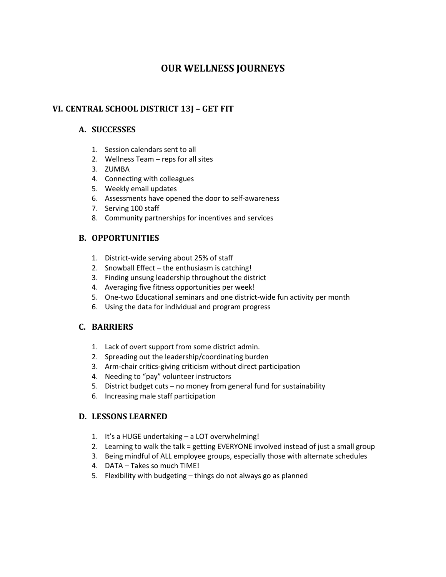## **VI. CENTRAL SCHOOL DISTRICT 13J – GET FIT**

## **A. SUCCESSES**

- 1. Session calendars sent to all
- 2. Wellness Team reps for all sites
- 3. ZUMBA
- 4. Connecting with colleagues
- 5. Weekly email updates
- 6. Assessments have opened the door to self-awareness
- 7. Serving 100 staff
- 8. Community partnerships for incentives and services

## **B. OPPORTUNITIES**

- 1. District-wide serving about 25% of staff
- 2. Snowball Effect the enthusiasm is catching!
- 3. Finding unsung leadership throughout the district
- 4. Averaging five fitness opportunities per week!
- 5. One-two Educational seminars and one district-wide fun activity per month
- 6. Using the data for individual and program progress

## **C. BARRIERS**

- 1. Lack of overt support from some district admin.
- 2. Spreading out the leadership/coordinating burden
- 3. Arm-chair critics-giving criticism without direct participation
- 4. Needing to "pay" volunteer instructors
- 5. District budget cuts no money from general fund for sustainability
- 6. Increasing male staff participation

- 1. It's a HUGE undertaking a LOT overwhelming!
- 2. Learning to walk the talk = getting EVERYONE involved instead of just a small group
- 3. Being mindful of ALL employee groups, especially those with alternate schedules
- 4. DATA Takes so much TIME!
- 5. Flexibility with budgeting things do not always go as planned